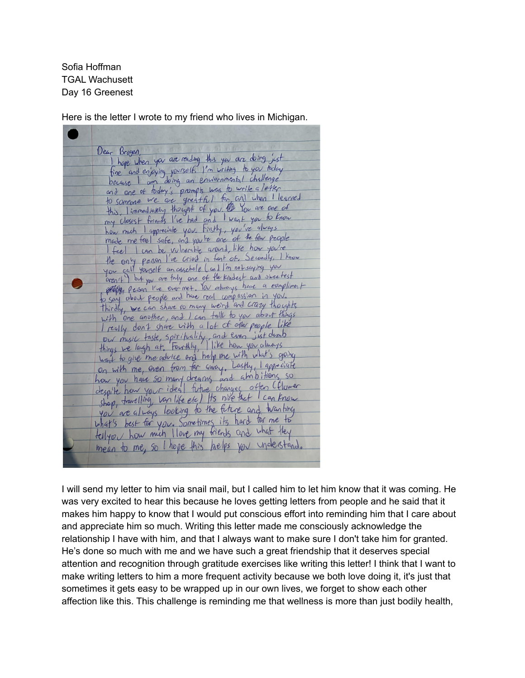Sofia Hoffman TGAL Wachusett Day 16 Greenest

Here is the letter I wrote to my friend who lives in Michigan.

| ir Brogen,<br>I hope when you are reiding this you are doing just<br>fine and enjoying yourself. I'm writing to you today                                      |
|----------------------------------------------------------------------------------------------------------------------------------------------------------------|
| <u>Dear Brogen</u>                                                                                                                                             |
|                                                                                                                                                                |
| because I am doing an enviornmental challenge                                                                                                                  |
|                                                                                                                                                                |
| and one of today's prompts was to write a letter                                                                                                               |
| this limined rathy thought of you. Or You are one of<br>my closest friends I've had and I want you to know                                                     |
|                                                                                                                                                                |
| heir mich I appreciate you. Firstly, you've gluays                                                                                                             |
| made me teel safe, and you're one of the few people                                                                                                            |
| I feel I can be vulnerable around, like how you're                                                                                                             |
| the only peason I've cried in fant of, Secondly, I know                                                                                                        |
| you call yourself an assehole (and I'm not saying you                                                                                                          |
| aren't ) but you are tuly one of the kindest and sweetest                                                                                                      |
| Allen Person I've ever met. You always have a compliment                                                                                                       |
| to say about people and have real compassion in you.                                                                                                           |
| Thirdly, we can share so many weird and crazy thoughts                                                                                                         |
| with one another, and I can fall to you about things<br>I really don't share with a lot of other people like                                                   |
|                                                                                                                                                                |
| ow misse task, spirituality, and even just dumb<br>things we laigh at, Fourthly, I like how you always<br>want to give me advice and help me with what's going |
|                                                                                                                                                                |
| on with me, even from far away, Lastly, I approciate                                                                                                           |
| how you have so many dreams and almostrong so                                                                                                                  |
| despite how your ideal future changes often (flower                                                                                                            |
|                                                                                                                                                                |
| shop, favelling, van life etc) Its nike that I can know                                                                                                        |
| you are always looking to the fittine and transhing                                                                                                            |
| what's best for you. Sometimes its hard for me to                                                                                                              |
| telly or how mich llove my friends and what they                                                                                                               |
| mean to me, so I hope this helps you understand.                                                                                                               |
|                                                                                                                                                                |
|                                                                                                                                                                |

I will send my letter to him via snail mail, but I called him to let him know that it was coming. He was very excited to hear this because he loves getting letters from people and he said that it makes him happy to know that I would put conscious effort into reminding him that I care about and appreciate him so much. Writing this letter made me consciously acknowledge the relationship I have with him, and that I always want to make sure I don't take him for granted. He's done so much with me and we have such a great friendship that it deserves special attention and recognition through gratitude exercises like writing this letter! I think that I want to make writing letters to him a more frequent activity because we both love doing it, it's just that sometimes it gets easy to be wrapped up in our own lives, we forget to show each other affection like this. This challenge is reminding me that wellness is more than just bodily health,